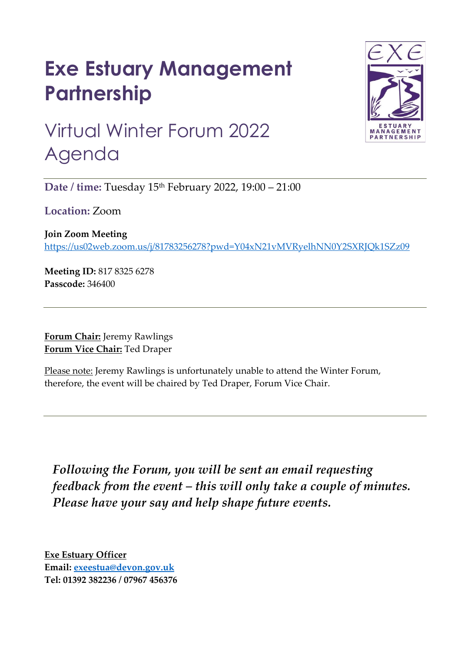## **Exe Estuary Management Partnership**



## Virtual Winter Forum 2022 Agenda

**Date / time:** Tuesday 15th February 2022, 19:00 – 21:00

**Location:** Zoom

**Join Zoom Meeting**  https://us02web.zoom.us/j/81783256278?pwd=Y04xN21vMVRyelhNN0Y2SXRJQk1SZz09

**Meeting ID:** 817 8325 6278 **Passcode:** 346400

**Forum Chair:** Jeremy Rawlings **Forum Vice Chair:** Ted Draper

Please note: Jeremy Rawlings is unfortunately unable to attend the Winter Forum, therefore, the event will be chaired by Ted Draper, Forum Vice Chair.

*Following the Forum, you will be sent an email requesting feedback from the event – this will only take a couple of minutes. Please have your say and help shape future events.* 

**Exe Estuary Officer Email: exeestua@devon.gov.uk Tel: 01392 382236 / 07967 456376**